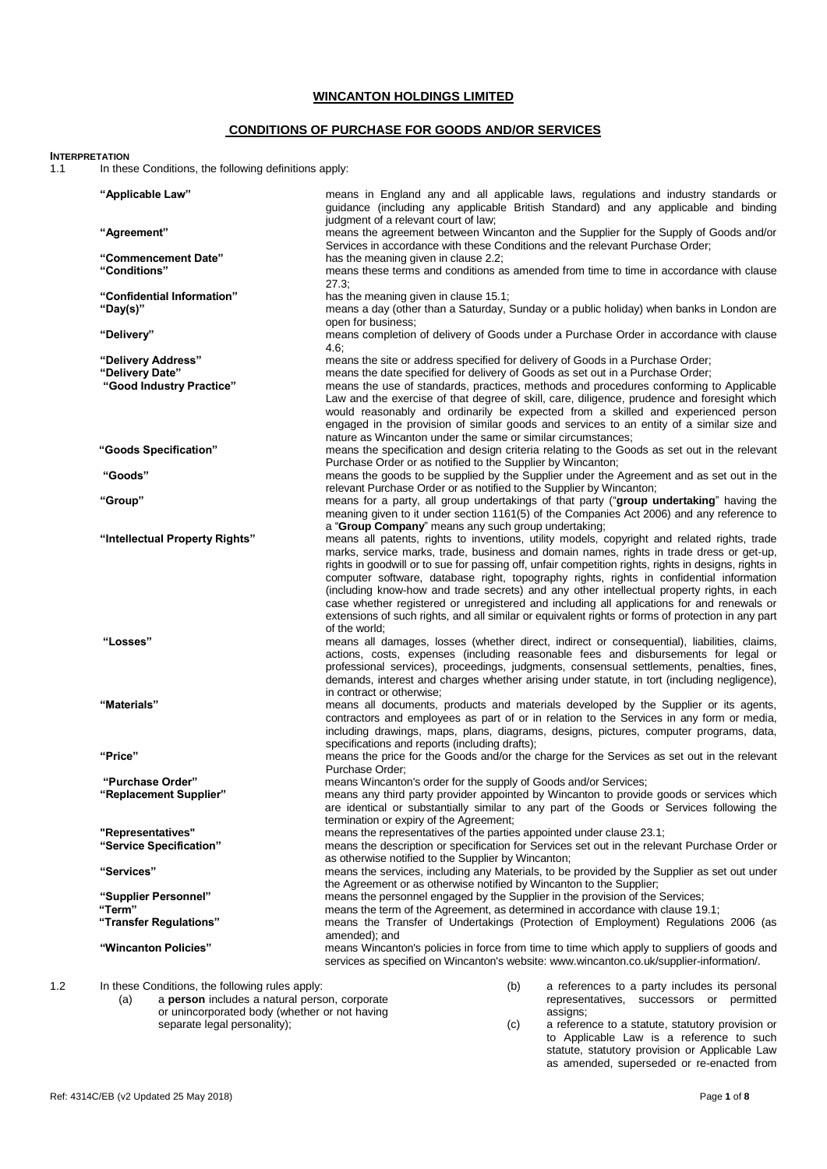#### **WINCANTON HOLDINGS LIMITED**

#### **CONDITIONS OF PURCHASE FOR GOODS AND/OR SERVICES**

**INTERPRETATION**

| "Applicable Law"                                                                                               | means in England any and all applicable laws, regulations and industry standards or<br>guidance (including any applicable British Standard) and any applicable and binding<br>judgment of a relevant court of law;                                                            |
|----------------------------------------------------------------------------------------------------------------|-------------------------------------------------------------------------------------------------------------------------------------------------------------------------------------------------------------------------------------------------------------------------------|
| "Agreement"                                                                                                    | means the agreement between Wincanton and the Supplier for the Supply of Goods and/or<br>Services in accordance with these Conditions and the relevant Purchase Order;                                                                                                        |
| "Commencement Date"                                                                                            | has the meaning given in clause 2.2;                                                                                                                                                                                                                                          |
| "Conditions"                                                                                                   | means these terms and conditions as amended from time to time in accordance with clause<br>$27.3$ ;                                                                                                                                                                           |
| "Confidential Information"                                                                                     | has the meaning given in clause 15.1;                                                                                                                                                                                                                                         |
| "Day(s)"                                                                                                       | means a day (other than a Saturday, Sunday or a public holiday) when banks in London are                                                                                                                                                                                      |
|                                                                                                                | open for business;                                                                                                                                                                                                                                                            |
| "Delivery"                                                                                                     | means completion of delivery of Goods under a Purchase Order in accordance with clause<br>4.6,                                                                                                                                                                                |
| "Delivery Address"                                                                                             | means the site or address specified for delivery of Goods in a Purchase Order;                                                                                                                                                                                                |
| "Delivery Date"                                                                                                | means the date specified for delivery of Goods as set out in a Purchase Order;                                                                                                                                                                                                |
| "Good Industry Practice"                                                                                       | means the use of standards, practices, methods and procedures conforming to Applicable                                                                                                                                                                                        |
|                                                                                                                | Law and the exercise of that degree of skill, care, diligence, prudence and foresight which<br>would reasonably and ordinarily be expected from a skilled and experienced person<br>engaged in the provision of similar goods and services to an entity of a similar size and |
|                                                                                                                | nature as Wincanton under the same or similar circumstances;                                                                                                                                                                                                                  |
| "Goods Specification"                                                                                          | means the specification and design criteria relating to the Goods as set out in the relevant                                                                                                                                                                                  |
|                                                                                                                | Purchase Order or as notified to the Supplier by Wincanton;                                                                                                                                                                                                                   |
| "Goods"                                                                                                        | means the goods to be supplied by the Supplier under the Agreement and as set out in the                                                                                                                                                                                      |
|                                                                                                                | relevant Purchase Order or as notified to the Supplier by Wincanton;                                                                                                                                                                                                          |
| "Group"                                                                                                        | means for a party, all group undertakings of that party ("group undertaking" having the<br>meaning given to it under section 1161(5) of the Companies Act 2006) and any reference to                                                                                          |
|                                                                                                                | a "Group Company" means any such group undertaking;                                                                                                                                                                                                                           |
| "Intellectual Property Rights"                                                                                 | means all patents, rights to inventions, utility models, copyright and related rights, trade                                                                                                                                                                                  |
|                                                                                                                | marks, service marks, trade, business and domain names, rights in trade dress or get-up,                                                                                                                                                                                      |
|                                                                                                                | rights in goodwill or to sue for passing off, unfair competition rights, rights in designs, rights in                                                                                                                                                                         |
|                                                                                                                | computer software, database right, topography rights, rights in confidential information                                                                                                                                                                                      |
|                                                                                                                | (including know-how and trade secrets) and any other intellectual property rights, in each                                                                                                                                                                                    |
|                                                                                                                | case whether registered or unregistered and including all applications for and renewals or<br>extensions of such rights, and all similar or equivalent rights or forms of protection in any part                                                                              |
| "Losses"                                                                                                       | of the world;<br>means all damages, losses (whether direct, indirect or consequential), liabilities, claims,                                                                                                                                                                  |
|                                                                                                                | actions, costs, expenses (including reasonable fees and disbursements for legal or                                                                                                                                                                                            |
|                                                                                                                | professional services), proceedings, judgments, consensual settlements, penalties, fines,                                                                                                                                                                                     |
|                                                                                                                | demands, interest and charges whether arising under statute, in tort (including negligence),                                                                                                                                                                                  |
|                                                                                                                | in contract or otherwise;                                                                                                                                                                                                                                                     |
| "Materials"                                                                                                    | means all documents, products and materials developed by the Supplier or its agents,                                                                                                                                                                                          |
|                                                                                                                | contractors and employees as part of or in relation to the Services in any form or media,<br>including drawings, maps, plans, diagrams, designs, pictures, computer programs, data,                                                                                           |
|                                                                                                                | specifications and reports (including drafts);                                                                                                                                                                                                                                |
| "Price"                                                                                                        | means the price for the Goods and/or the charge for the Services as set out in the relevant                                                                                                                                                                                   |
|                                                                                                                | Purchase Order:                                                                                                                                                                                                                                                               |
| "Purchase Order"                                                                                               | means Wincanton's order for the supply of Goods and/or Services;                                                                                                                                                                                                              |
| "Replacement Supplier"                                                                                         | means any third party provider appointed by Wincanton to provide goods or services which                                                                                                                                                                                      |
|                                                                                                                | are identical or substantially similar to any part of the Goods or Services following the<br>termination or expiry of the Agreement;                                                                                                                                          |
| "Representatives"                                                                                              | means the representatives of the parties appointed under clause 23.1;                                                                                                                                                                                                         |
| "Service Specification"                                                                                        | means the description or specification for Services set out in the relevant Purchase Order or                                                                                                                                                                                 |
|                                                                                                                | as otherwise notified to the Supplier by Wincanton;                                                                                                                                                                                                                           |
| "Services"                                                                                                     | means the services, including any Materials, to be provided by the Supplier as set out under                                                                                                                                                                                  |
|                                                                                                                | the Agreement or as otherwise notified by Wincanton to the Supplier;                                                                                                                                                                                                          |
| "Supplier Personnel"<br>"Term"                                                                                 | means the personnel engaged by the Supplier in the provision of the Services;<br>means the term of the Agreement, as determined in accordance with clause 19.1;                                                                                                               |
| "Transfer Regulations"                                                                                         | means the Transfer of Undertakings (Protection of Employment) Regulations 2006 (as                                                                                                                                                                                            |
|                                                                                                                | amended); and                                                                                                                                                                                                                                                                 |
| "Wincanton Policies"                                                                                           | means Wincanton's policies in force from time to time which apply to suppliers of goods and                                                                                                                                                                                   |
|                                                                                                                | services as specified on Wincanton's website: www.wincanton.co.uk/supplier-information/.                                                                                                                                                                                      |
|                                                                                                                |                                                                                                                                                                                                                                                                               |
| In these Conditions, the following rules apply:<br>a <b>person</b> includes a natural person, corporate<br>(a) | (b)<br>a references to a party includes its personal<br>representatives, successors or permitted                                                                                                                                                                              |
| or unincorporated body (whether or not having                                                                  | assigns;                                                                                                                                                                                                                                                                      |
|                                                                                                                |                                                                                                                                                                                                                                                                               |

(c) a reference to a statute, statutory provision or to Applicable Law is a reference to such statute, statutory provision or Applicable Law as amended, superseded or re-enacted from

separate legal personality);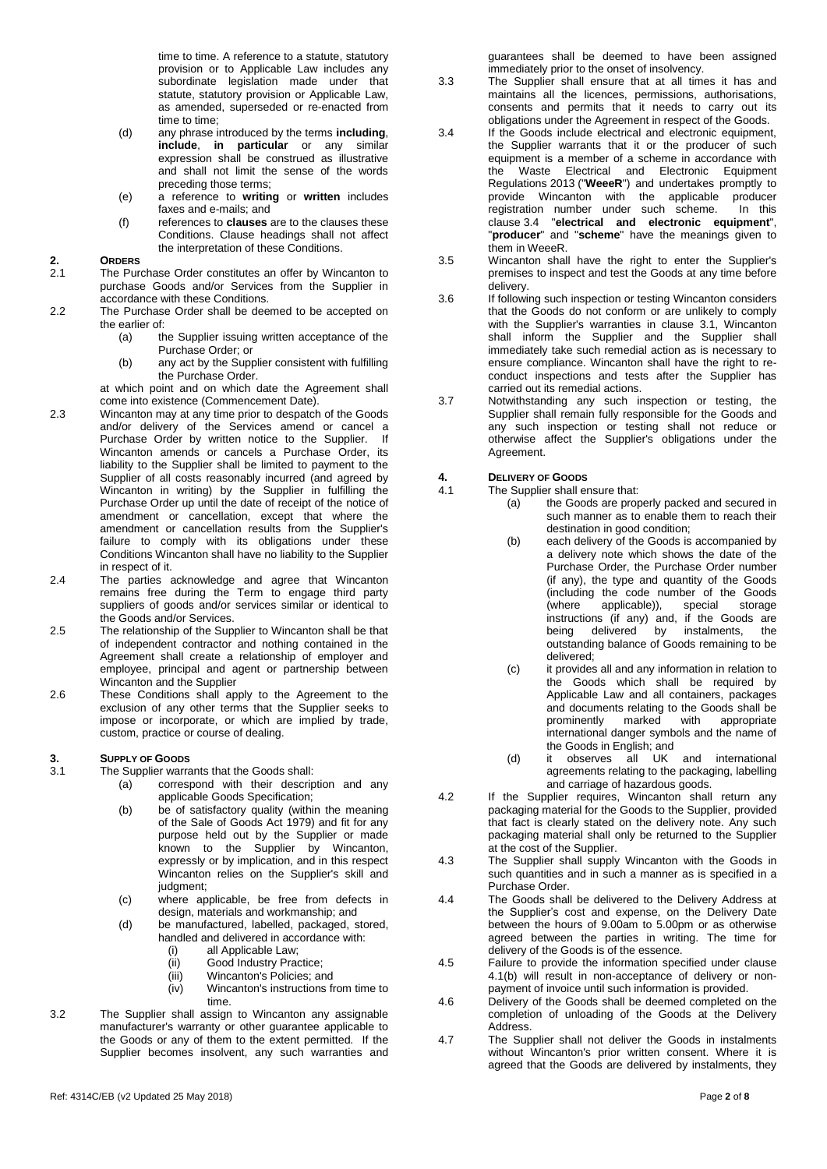time to time. A reference to a statute, statutory provision or to Applicable Law includes any subordinate legislation made under that statute, statutory provision or Applicable Law, as amended, superseded or re-enacted from time to time;

- (d) any phrase introduced by the terms **including**, **include**, **in particular** or any similar expression shall be construed as illustrative and shall not limit the sense of the words preceding those terms;
- (e) a reference to **writing** or **written** includes faxes and e-mails; and
- (f) references to **clauses** are to the clauses these Conditions. Clause headings shall not affect the interpretation of these Conditions.

### **2. ORDERS**

- The Purchase Order constitutes an offer by Wincanton to purchase Goods and/or Services from the Supplier in accordance with these Conditions.
- 2.2 The Purchase Order shall be deemed to be accepted on the earlier of:
	- (a) the Supplier issuing written acceptance of the Purchase Order; or
	- (b) any act by the Supplier consistent with fulfilling the Purchase Order.

at which point and on which date the Agreement shall come into existence (Commencement Date).

- 2.3 Wincanton may at any time prior to despatch of the Goods and/or delivery of the Services amend or cancel a Purchase Order by written notice to the Supplier. If Wincanton amends or cancels a Purchase Order, its liability to the Supplier shall be limited to payment to the Supplier of all costs reasonably incurred (and agreed by Wincanton in writing) by the Supplier in fulfilling the Purchase Order up until the date of receipt of the notice of amendment or cancellation, except that where the amendment or cancellation results from the Supplier's failure to comply with its obligations under these Conditions Wincanton shall have no liability to the Supplier in respect of it.
- 2.4 The parties acknowledge and agree that Wincanton remains free during the Term to engage third party suppliers of goods and/or services similar or identical to the Goods and/or Services.
- 2.5 The relationship of the Supplier to Wincanton shall be that of independent contractor and nothing contained in the Agreement shall create a relationship of employer and employee, principal and agent or partnership between Wincanton and the Supplier
- 2.6 These Conditions shall apply to the Agreement to the exclusion of any other terms that the Supplier seeks to impose or incorporate, or which are implied by trade, custom, practice or course of dealing.

# **3. SUPPLY OF GOODS**<br>3.1 **The Supplier warra**

- <span id="page-1-2"></span>The Supplier warrants that the Goods shall:<br>(a) correspond with their descrip
	- correspond with their description and any applicable Goods Specification;
	- (b) be of satisfactory quality (within the meaning of the Sale of Goods Act 1979) and fit for any purpose held out by the Supplier or made known to the Supplier by Wincanton, expressly or by implication, and in this respect Wincanton relies on the Supplier's skill and judgment;
	- (c) where applicable, be free from defects in design, materials and workmanship; and
	- (d) be manufactured, labelled, packaged, stored, handled and delivered in accordance with:
		-
		- (i) all Applicable Law;<br>(ii) Good Industry Prac Good Industry Practice;
		- (iii) Wincanton's Policies; and
		- (iv) Wincanton's instructions from time to time.
- 3.2 The Supplier shall assign to Wincanton any assignable manufacturer's warranty or other guarantee applicable to the Goods or any of them to the extent permitted. If the Supplier becomes insolvent, any such warranties and

guarantees shall be deemed to have been assigned immediately prior to the onset of insolvency.

- 3.3 The Supplier shall ensure that at all times it has and maintains all the licences, permissions, authorisations, consents and permits that it needs to carry out its obligations under the Agreement in respect of the Goods.
- <span id="page-1-1"></span>3.4 If the Goods include electrical and electronic equipment, the Supplier warrants that it or the producer of such equipment is a member of a scheme in accordance with the Waste Electrical and Electronic Equipment Regulations 2013 ("**WeeeR**") and undertakes promptly to provide Wincanton with the applicable producer registration number under such scheme. In this clause [3.4](#page-1-1) "**electrical and electronic equipment**", "**producer**" and "**scheme**" have the meanings given to them in WeeeR.
- 3.5 Wincanton shall have the right to enter the Supplier's premises to inspect and test the Goods at any time before delivery.
- 3.6 If following such inspection or testing Wincanton considers that the Goods do not conform or are unlikely to comply with the Supplier's warranties in clause [3.1,](#page-1-2) Wincanton shall inform the Supplier and the Supplier shall immediately take such remedial action as is necessary to ensure compliance. Wincanton shall have the right to reconduct inspections and tests after the Supplier has carried out its remedial actions.
- 3.7 Notwithstanding any such inspection or testing, the Supplier shall remain fully responsible for the Goods and any such inspection or testing shall not reduce or otherwise affect the Supplier's obligations under the Agreement.

## **4. DELIVERY OF GOODS**<br>**4.1** The Supplier shall er

- <span id="page-1-3"></span>The Supplier shall ensure that:
	- $(a)$  the Goods are properly packed and secured in such manner as to enable them to reach their destination in good condition;
	- (b) each delivery of the Goods is accompanied by a delivery note which shows the date of the Purchase Order, the Purchase Order number (if any), the type and quantity of the Goods (including the code number of the Goods<br>(where applicable)) special storage applicable)), special storage instructions (if any) and, if the Goods are being delivered by instalments, the outstanding balance of Goods remaining to be delivered;
	- (c) it provides all and any information in relation to the Goods which shall be required by Applicable Law and all containers, packages and documents relating to the Goods shall be prominently marked with appropriate international danger symbols and the name of the Goods in English; and
	- (d) it observes all UK and international agreements relating to the packaging, labelling and carriage of hazardous goods.
- 4.2 If the Supplier requires, Wincanton shall return any packaging material for the Goods to the Supplier, provided that fact is clearly stated on the delivery note. Any such packaging material shall only be returned to the Supplier at the cost of the Supplier.
- 4.3 The Supplier shall supply Wincanton with the Goods in such quantities and in such a manner as is specified in a Purchase Order.
- 4.4 The Goods shall be delivered to the Delivery Address at the Supplier's cost and expense, on the Delivery Date between the hours of 9.00am to 5.00pm or as otherwise agreed between the parties in writing. The time for delivery of the Goods is of the essence.
- 4.5 Failure to provide the information specified under clause [4.1\(b\)](#page-1-3) will result in non-acceptance of delivery or nonpayment of invoice until such information is provided.
- <span id="page-1-0"></span>4.6 Delivery of the Goods shall be deemed completed on the completion of unloading of the Goods at the Delivery Address.
- 4.7 The Supplier shall not deliver the Goods in instalments without Wincanton's prior written consent. Where it is agreed that the Goods are delivered by instalments, they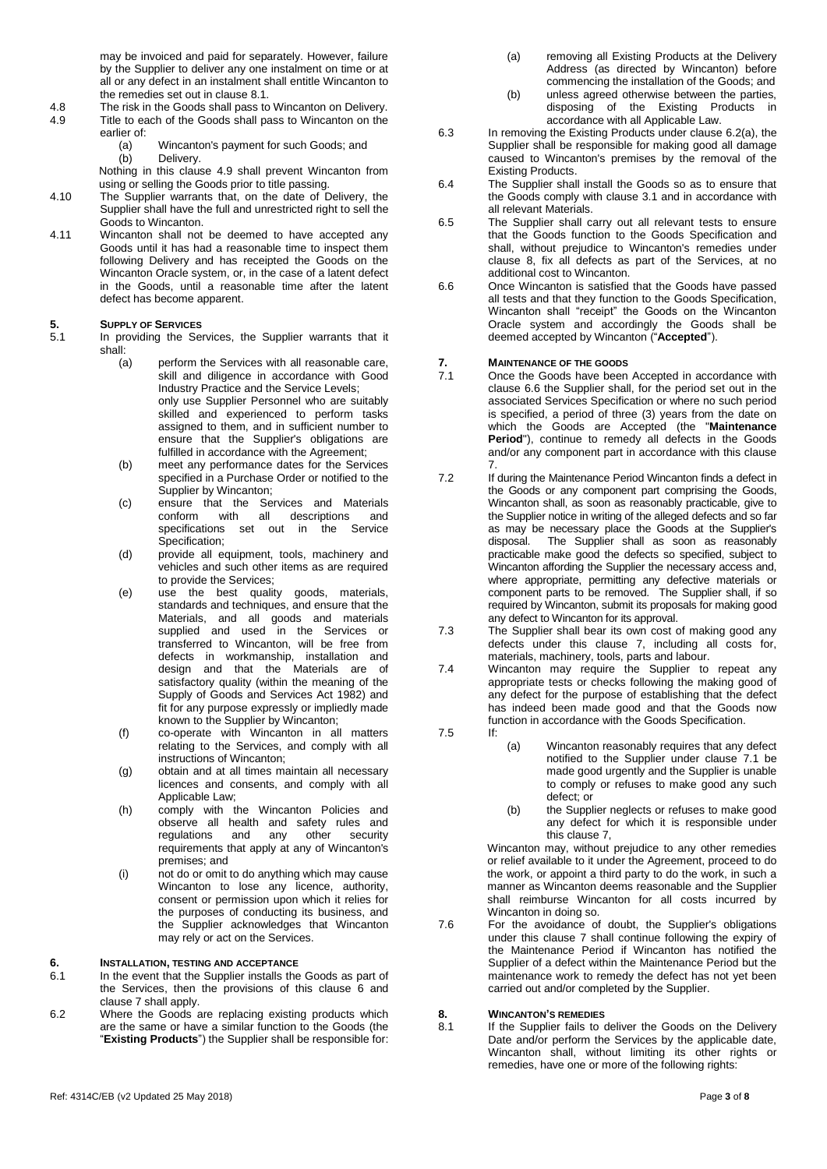may be invoiced and paid for separately. However, failure by the Supplier to deliver any one instalment on time or at all or any defect in an instalment shall entitle Wincanton to the remedies set out in claus[e 8.1.](#page-2-0)

- <span id="page-2-1"></span>4.8 The risk in the Goods shall pass to Wincanton on Delivery.<br>4.9 Title to each of the Goods shall pass to Wincanton on the Title to each of the Goods shall pass to Wincanton on the earlier of:<br>(a)
	- (a) Wincanton's payment for such Goods; and<br>(b) Delivery. Delivery.

Nothing in this clause [4.9](#page-2-1) shall prevent Wincanton from using or selling the Goods prior to title passing.

- 4.10 The Supplier warrants that, on the date of Delivery, the Supplier shall have the full and unrestricted right to sell the Goods to Wincanton.
- 4.11 Wincanton shall not be deemed to have accepted any Goods until it has had a reasonable time to inspect them following Delivery and has receipted the Goods on the Wincanton Oracle system, or, in the case of a latent defect in the Goods, until a reasonable time after the latent defect has become apparent.

## **5. SUPPLY OF SERVICES**<br>5.1 **In providing the Se**

- In providing the Services, the Supplier warrants that it  $shall:$ 
	- perform the Services with all reasonable care, skill and diligence in accordance with Good Industry Practice and the Service Levels; only use Supplier Personnel who are suitably skilled and experienced to perform tasks assigned to them, and in sufficient number to ensure that the Supplier's obligations are fulfilled in accordance with the Agreement;
	- (b) meet any performance dates for the Services specified in a Purchase Order or notified to the Supplier by Wincanton;
	- (c) ensure that the Services and Materials<br>
	conform with all descriptions and with all descriptions and specifications set out in the Service Specification;
	- (d) provide all equipment, tools, machinery and vehicles and such other items as are required to provide the Services;
	- (e) use the best quality goods, materials, standards and techniques, and ensure that the Materials, and all goods and materials supplied and used in the Services or transferred to Wincanton, will be free from defects in workmanship, installation and design and that the Materials are of satisfactory quality (within the meaning of the Supply of Goods and Services Act 1982) and fit for any purpose expressly or impliedly made known to the Supplier by Wincanton;
	- (f) co-operate with Wincanton in all matters relating to the Services, and comply with all instructions of Wincanton;
	- (g) obtain and at all times maintain all necessary licences and consents, and comply with all Applicable Law;
	- (h) comply with the Wincanton Policies and observe all health and safety rules and<br>regulations and any other security regulations requirements that apply at any of Wincanton's premises; and
	- (i) not do or omit to do anything which may cause Wincanton to lose any licence, authority, consent or permission upon which it relies for the purposes of conducting its business, and the Supplier acknowledges that Wincanton may rely or act on the Services.

### **6. INSTALLATION, TESTING AND ACCEPTANCE**

- In the event that the Supplier installs the Goods as part of the Services, then the provisions of this clause 6 and clause 7 shall apply.
- 6.2 Where the Goods are replacing existing products which are the same or have a similar function to the Goods (the "**Existing Products**") the Supplier shall be responsible for:
- (a) removing all Existing Products at the Delivery Address (as directed by Wincanton) before commencing the installation of the Goods; and
- (b) unless agreed otherwise between the parties, disposing of the Existing Products in accordance with all Applicable Law.
- 6.3 In removing the Existing Products under clause 6.2(a), the Supplier shall be responsible for making good all damage caused to Wincanton's premises by the removal of the Existing Products.
- 6.4 The Supplier shall install the Goods so as to ensure that the Goods comply with clause [3.1](#page-1-2) and in accordance with all relevant Materials.
- 6.5 The Supplier shall carry out all relevant tests to ensure that the Goods function to the Goods Specification and shall, without prejudice to Wincanton's remedies under clause 8, fix all defects as part of the Services, at no additional cost to Wincanton.
- 6.6 Once Wincanton is satisfied that the Goods have passed all tests and that they function to the Goods Specification, Wincanton shall "receipt" the Goods on the Wincanton Oracle system and accordingly the Goods shall be deemed accepted by Wincanton ("**Accepted**").

## <span id="page-2-2"></span>**7. MAINTENANCE OF THE GOODS**<br>**7.1** Once the Goods have been

- Once the Goods have been Accepted in accordance with clause 6.6 the Supplier shall, for the period set out in the associated Services Specification or where no such period is specified, a period of three (3) years from the date on which the Goods are Accepted (the "**Maintenance**  Period"), continue to remedy all defects in the Goods and/or any component part in accordance with this clause 7.
- 7.2 If during the Maintenance Period Wincanton finds a defect in the Goods or any component part comprising the Goods, Wincanton shall, as soon as reasonably practicable, give to the Supplier notice in writing of the alleged defects and so far as may be necessary place the Goods at the Supplier's The Supplier shall as soon as reasonably practicable make good the defects so specified, subject to Wincanton affording the Supplier the necessary access and, where appropriate, permitting any defective materials or component parts to be removed. The Supplier shall, if so required by Wincanton, submit its proposals for making good any defect to Wincanton for its approval.
- 7.3 The Supplier shall bear its own cost of making good any defects under this clause 7, including all costs for, materials, machinery, tools, parts and labour.
- 7.4 Wincanton may require the Supplier to repeat any appropriate tests or checks following the making good of any defect for the purpose of establishing that the defect has indeed been made good and that the Goods now function in accordance with the Goods Specification.
- $7.5$
- (a) Wincanton reasonably requires that any defect notified to the Supplier under clause 7.1 be made good urgently and the Supplier is unable to comply or refuses to make good any such defect; or
- (b) the Supplier neglects or refuses to make good any defect for which it is responsible under this clause 7,

Wincanton may, without prejudice to any other remedies or relief available to it under the Agreement, proceed to do the work, or appoint a third party to do the work, in such a manner as Wincanton deems reasonable and the Supplier shall reimburse Wincanton for all costs incurred by Wincanton in doing so.

7.6 For the avoidance of doubt, the Supplier's obligations under this clause [7](#page-2-2) shall continue following the expiry of the Maintenance Period if Wincanton has notified the Supplier of a defect within the Maintenance Period but the maintenance work to remedy the defect has not yet been carried out and/or completed by the Supplier.

## 8. **WINCANTON'S REMEDIES**<br>8.1 If the Supplier fails to a

<span id="page-2-0"></span>If the Supplier fails to deliver the Goods on the Delivery Date and/or perform the Services by the applicable date, Wincanton shall, without limiting its other rights or remedies, have one or more of the following rights: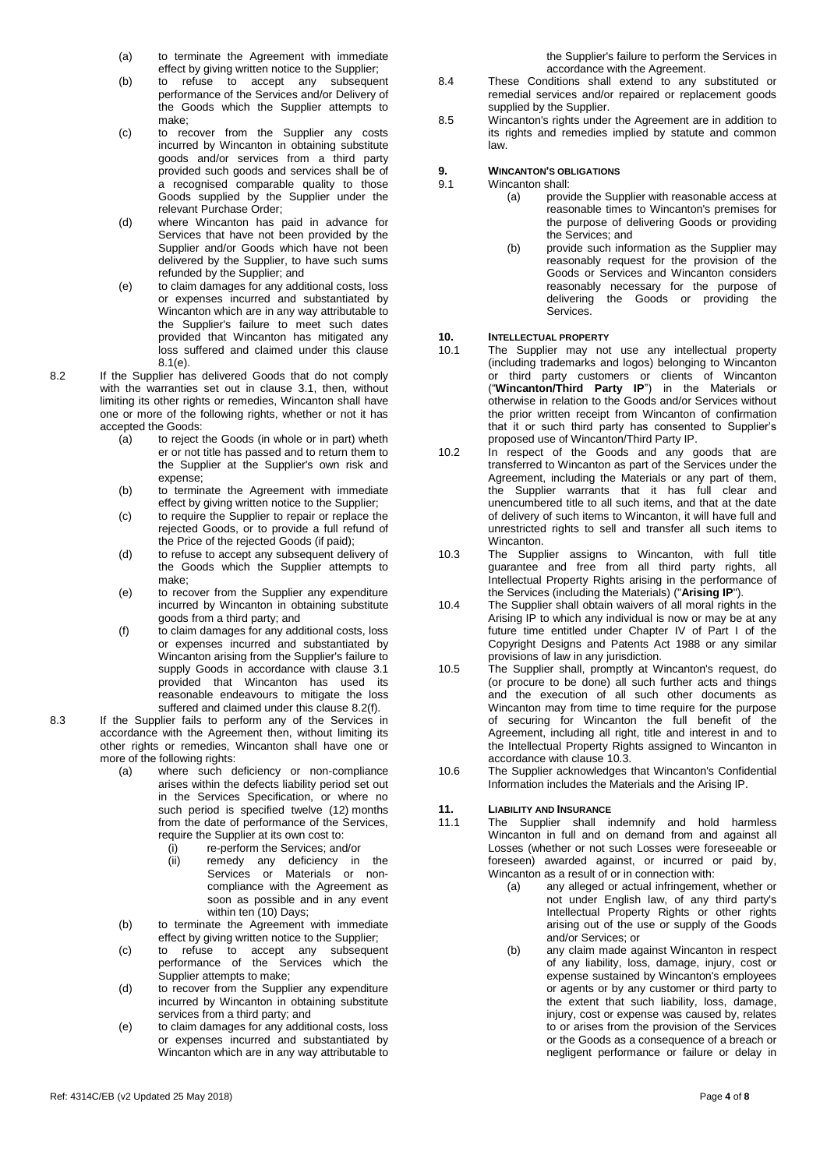- (a) to terminate the Agreement with immediate effect by giving written notice to the Supplier;
- (b) to refuse to accept any subsequent performance of the Services and/or Delivery of the Goods which the Supplier attempts to make;
- (c) to recover from the Supplier any costs incurred by Wincanton in obtaining substitute goods and/or services from a third party provided such goods and services shall be of a recognised comparable quality to those Goods supplied by the Supplier under the relevant Purchase Order;
- (d) where Wincanton has paid in advance for Services that have not been provided by the Supplier and/or Goods which have not been delivered by the Supplier, to have such sums refunded by the Supplier; and
- <span id="page-3-0"></span>(e) to claim damages for any additional costs, loss or expenses incurred and substantiated by Wincanton which are in any way attributable to the Supplier's failure to meet such dates provided that Wincanton has mitigated any loss suffered and claimed under this clause [8.1\(e\).](#page-3-0)
- 8.2 If the Supplier has delivered Goods that do not comply with the warranties set out in clause [3.1,](#page-1-2) then, without limiting its other rights or remedies, Wincanton shall have one or more of the following rights, whether or not it has accepted the Goods:
	- (a) to reject the Goods (in whole or in part) wheth er or not title has passed and to return them to the Supplier at the Supplier's own risk and expense;
	- (b) to terminate the Agreement with immediate effect by giving written notice to the Supplier;
	- (c) to require the Supplier to repair or replace the rejected Goods, or to provide a full refund of the Price of the rejected Goods (if paid);
	- (d) to refuse to accept any subsequent delivery of the Goods which the Supplier attempts to make;
	- (e) to recover from the Supplier any expenditure incurred by Wincanton in obtaining substitute goods from a third party; and
	- (f) to claim damages for any additional costs, loss or expenses incurred and substantiated by Wincanton arising from the Supplier's failure to supply Goods in accordance with clause [3.1](#page-1-2) provided that Wincanton has used its reasonable endeavours to mitigate the loss suffered and claimed under this clause [8.2\(f\).](#page-3-1)
- <span id="page-3-1"></span>8.3 If the Supplier fails to perform any of the Services in accordance with the Agreement then, without limiting its other rights or remedies, Wincanton shall have one or more of the following rights:<br>(a) where such d
	- where such deficiency or non-compliance arises within the defects liability period set out in the Services Specification, or where no such period is specified twelve (12) months from the date of performance of the Services, require the Supplier at its own cost to:
		-
		- (i) re-perform the Services; and/or<br>(ii) remedy any deficiency in (ii) remedy any deficiency in the Services or Materials or noncompliance with the Agreement as soon as possible and in any event within ten (10) Days;
	- (b) to terminate the Agreement with immediate effect by giving written notice to the Supplier;
	- (c) to refuse to accept any subsequent performance of the Services which the Supplier attempts to make;
	- (d) to recover from the Supplier any expenditure incurred by Wincanton in obtaining substitute services from a third party; and
	- (e) to claim damages for any additional costs, loss or expenses incurred and substantiated by Wincanton which are in any way attributable to

the Supplier's failure to perform the Services in accordance with the Agreement.

- 8.4 These Conditions shall extend to any substituted or remedial services and/or repaired or replacement goods supplied by the Supplier.
- 8.5 Wincanton's rights under the Agreement are in addition to its rights and remedies implied by statute and common law.

# **9. WINCANTON'S OBLIGATIONS**<br>9.1 **Wincanton shall:**

- Wincanton shall:
	- (a) provide the Supplier with reasonable access at reasonable times to Wincanton's premises for the purpose of delivering Goods or providing the Services; and
	- (b) provide such information as the Supplier may reasonably request for the provision of the Goods or Services and Wincanton considers reasonably necessary for the purpose of delivering the Goods or providing the Services.

#### **10. INTELLECTUAL PROPERTY**<br>10.1 **The Supplier may not**

- The Supplier may not use any intellectual property (including trademarks and logos) belonging to Wincanton or third party customers or clients of Wincanton ("**Wincanton/Third Party IP**") in the Materials or otherwise in relation to the Goods and/or Services without the prior written receipt from Wincanton of confirmation that it or such third party has consented to Supplier's proposed use of Wincanton/Third Party IP.
- 10.2 In respect of the Goods and any goods that are transferred to Wincanton as part of the Services under the Agreement, including the Materials or any part of them, the Supplier warrants that it has full clear and unencumbered title to all such items, and that at the date of delivery of such items to Wincanton, it will have full and unrestricted rights to sell and transfer all such items to Wincanton.
- <span id="page-3-2"></span>10.3 The Supplier assigns to Wincanton, with full title guarantee and free from all third party rights, all Intellectual Property Rights arising in the performance of the Services (including the Materials) ("**Arising IP**").
- 10.4 The Supplier shall obtain waivers of all moral rights in the Arising IP to which any individual is now or may be at any future time entitled under Chapter IV of Part I of the Copyright Designs and Patents Act 1988 or any similar provisions of law in any jurisdiction.
- 10.5 The Supplier shall, promptly at Wincanton's request, do (or procure to be done) all such further acts and things and the execution of all such other documents as Wincanton may from time to time require for the purpose of securing for Wincanton the full benefit of the Agreement, including all right, title and interest in and to the Intellectual Property Rights assigned to Wincanton in accordance with clause [10.3.](#page-3-2)
- 10.6 The Supplier acknowledges that Wincanton's Confidential Information includes the Materials and the Arising IP.

#### <span id="page-3-3"></span>**11. LIABILITY AND INSURANCE**

- 11.1 The Supplier shall indemnify and hold harmless Wincanton in full and on demand from and against all Losses (whether or not such Losses were foreseeable or foreseen) awarded against, or incurred or paid by, Wincanton as a result of or in connection with:
	- (a) any alleged or actual infringement, whether or not under English law, of any third party's Intellectual Property Rights or other rights arising out of the use or supply of the Goods and/or Services; or
	- (b) any claim made against Wincanton in respect of any liability, loss, damage, injury, cost or expense sustained by Wincanton's employees or agents or by any customer or third party to the extent that such liability, loss, damage, injury, cost or expense was caused by, relates to or arises from the provision of the Services or the Goods as a consequence of a breach or negligent performance or failure or delay in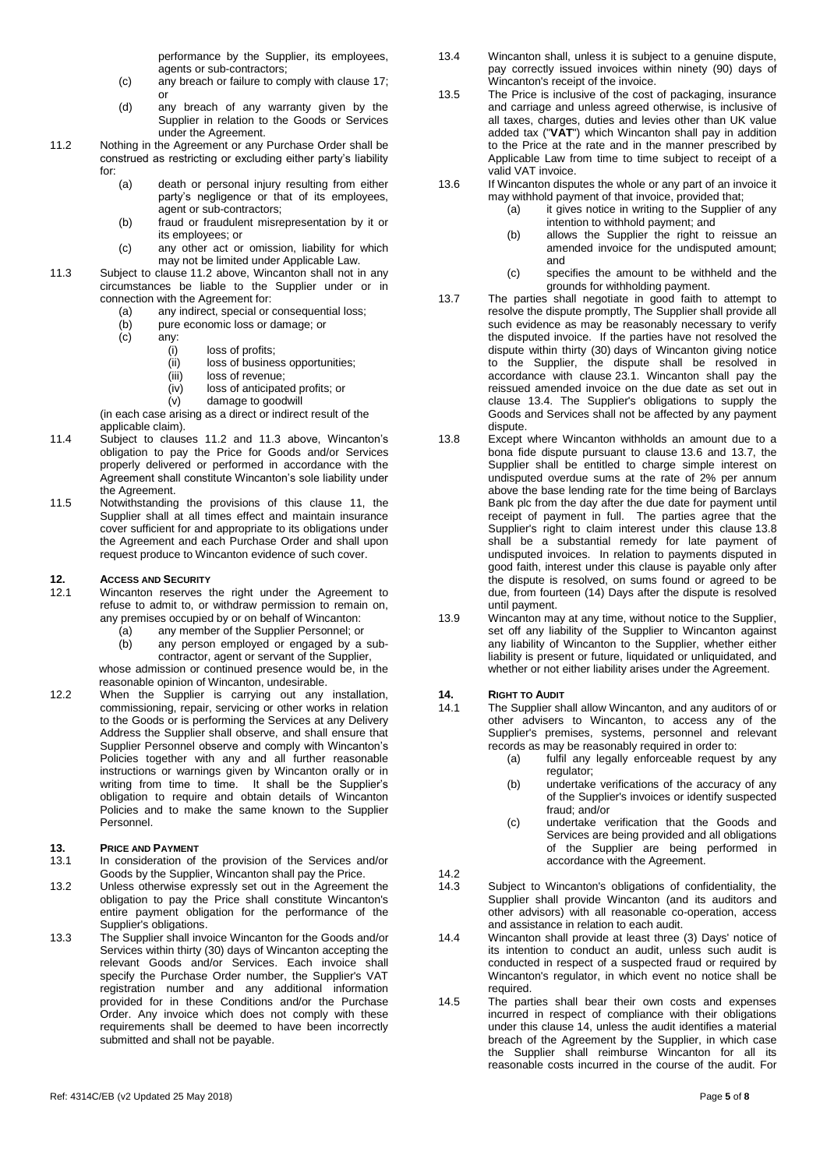performance by the Supplier, its employees, agents or sub-contractors;

- (c) any breach or failure to comply with clause [17;](#page-5-1)  or
- (d) any breach of any warranty given by the Supplier in relation to the Goods or Services under the Agreement.
- <span id="page-4-0"></span>11.2 Nothing in the Agreement or any Purchase Order shall be construed as restricting or excluding either party's liability for:
	- (a) death or personal injury resulting from either party's negligence or that of its employees, agent or sub-contractors;
	- (b) fraud or fraudulent misrepresentation by it or its employees; or
	- (c) any other act or omission, liability for which may not be limited under Applicable Law.
- <span id="page-4-1"></span>11.3 Subject to clause [11.2](#page-4-0) above, Wincanton shall not in any circumstances be liable to the Supplier under or in connection with the Agreement for:<br>(a) any indirect, special or o
	- (a) any indirect, special or consequential loss;<br>(b) pure economic loss or damage; or
	- (b) pure economic loss or damage; or<br>(c) any:
	- any:
		-
		- (i) loss of profits;<br>(ii) loss of busines (ii) loss of business opportunities;<br>(iii) loss of revenue;
		-
		- (iii) loss of revenue;<br>(iv) loss of anticipate  $(iv)$  loss of anticipated profits; or  $(v)$  damage to goodwill
		- damage to goodwill

(in each case arising as a direct or indirect result of the applicable claim).

- 11.4 Subject to clauses [11.2](#page-4-0) and [11.3](#page-4-1) above, Wincanton's obligation to pay the Price for Goods and/or Services properly delivered or performed in accordance with the Agreement shall constitute Wincanton's sole liability under the Agreement.
- 11.5 Notwithstanding the provisions of this clause [11,](#page-3-3) the Supplier shall at all times effect and maintain insurance cover sufficient for and appropriate to its obligations under the Agreement and each Purchase Order and shall upon request produce to Wincanton evidence of such cover.

## **12. ACCESS AND SECURITY**

- Wincanton reserves the right under the Agreement to refuse to admit to, or withdraw permission to remain on, any premises occupied by or on behalf of Wincanton:<br>(a) any member of the Supplier Personnel; or
	- (a) any member of the Supplier Personnel; or<br>(b) any person employed or engaged by a
	- any person employed or engaged by a subcontractor, agent or servant of the Supplier,

whose admission or continued presence would be, in the reasonable opinion of Wincanton, undesirable.

12.2 When the Supplier is carrying out any installation, commissioning, repair, servicing or other works in relation to the Goods or is performing the Services at any Delivery Address the Supplier shall observe, and shall ensure that Supplier Personnel observe and comply with Wincanton's Policies together with any and all further reasonable instructions or warnings given by Wincanton orally or in writing from time to time. It shall be the Supplier's obligation to require and obtain details of Wincanton Policies and to make the same known to the Supplier Personnel.

## **13. PRICE AND PAYMENT**<br>13.1 **In consideration of**

- In consideration of the provision of the Services and/or Goods by the Supplier, Wincanton shall pay the Price.
- 13.2 Unless otherwise expressly set out in the Agreement the obligation to pay the Price shall constitute Wincanton's entire payment obligation for the performance of the Supplier's obligations.
- 13.3 The Supplier shall invoice Wincanton for the Goods and/or Services within thirty (30) days of Wincanton accepting the relevant Goods and/or Services. Each invoice shall specify the Purchase Order number, the Supplier's VAT registration number and any additional information provided for in these Conditions and/or the Purchase Order. Any invoice which does not comply with these requirements shall be deemed to have been incorrectly submitted and shall not be payable.
- 13.4 Wincanton shall, unless it is subject to a genuine dispute, pay correctly issued invoices within ninety (90) days of Wincanton's receipt of the invoice.
- 13.5 The Price is inclusive of the cost of packaging, insurance and carriage and unless agreed otherwise, is inclusive of all taxes, charges, duties and levies other than UK value added tax ("**VAT**") which Wincanton shall pay in addition to the Price at the rate and in the manner prescribed by Applicable Law from time to time subject to receipt of a valid VAT invoice.
- <span id="page-4-2"></span>13.6 If Wincanton disputes the whole or any part of an invoice it may withhold payment of that invoice, provided that;
	- (a) it gives notice in writing to the Supplier of any intention to withhold payment; and
	- (b) allows the Supplier the right to reissue an amended invoice for the undisputed amount; and
	- (c) specifies the amount to be withheld and the grounds for withholding payment.
- 13.7 The parties shall negotiate in good faith to attempt to resolve the dispute promptly, The Supplier shall provide all such evidence as may be reasonably necessary to verify the disputed invoice. If the parties have not resolved the dispute within thirty (30) days of Wincanton giving notice to the Supplier, the dispute shall be resolved in accordance with clause [23.1.](#page-7-1) Wincanton shall pay the reissued amended invoice on the due date as set out in clause 13.4. The Supplier's obligations to supply the Goods and Services shall not be affected by any payment dispute.
- 13.8 Except where Wincanton withholds an amount due to a bona fide dispute pursuant to clause [13.6](#page-4-2) and 13.7, the Supplier shall be entitled to charge simple interest on undisputed overdue sums at the rate of 2% per annum above the base lending rate for the time being of Barclays Bank plc from the day after the due date for payment until receipt of payment in full. The parties agree that the Supplier's right to claim interest under this clause 13.8 shall be a substantial remedy for late payment of undisputed invoices. In relation to payments disputed in good faith, interest under this clause is payable only after the dispute is resolved, on sums found or agreed to be due, from fourteen (14) Days after the dispute is resolved until payment.
- 13.9 Wincanton may at any time, without notice to the Supplier, set off any liability of the Supplier to Wincanton against any liability of Wincanton to the Supplier, whether either liability is present or future, liquidated or unliquidated, and whether or not either liability arises under the Agreement.

#### <span id="page-4-3"></span>**14. RIGHT TO AUDIT**

- 14.1 The Supplier shall allow Wincanton, and any auditors of or other advisers to Wincanton, to access any of the Supplier's premises, systems, personnel and relevant records as may be reasonably required in order to:
	- (a) fulfil any legally enforceable request by any regulator;
	- (b) undertake verifications of the accuracy of any of the Supplier's invoices or identify suspected fraud; and/or
	- (c) undertake verification that the Goods and Services are being provided and all obligations of the Supplier are being performed in accordance with the Agreement.

14.2<br>14.3

- Subject to Wincanton's obligations of confidentiality, the Supplier shall provide Wincanton (and its auditors and other advisors) with all reasonable co-operation, access and assistance in relation to each audit.
- 14.4 Wincanton shall provide at least three (3) Days' notice of its intention to conduct an audit, unless such audit is conducted in respect of a suspected fraud or required by Wincanton's regulator, in which event no notice shall be required.
- <span id="page-4-4"></span>14.5 The parties shall bear their own costs and expenses incurred in respect of compliance with their obligations under this clause [14,](#page-4-3) unless the audit identifies a material breach of the Agreement by the Supplier, in which case the Supplier shall reimburse Wincanton for all its reasonable costs incurred in the course of the audit. For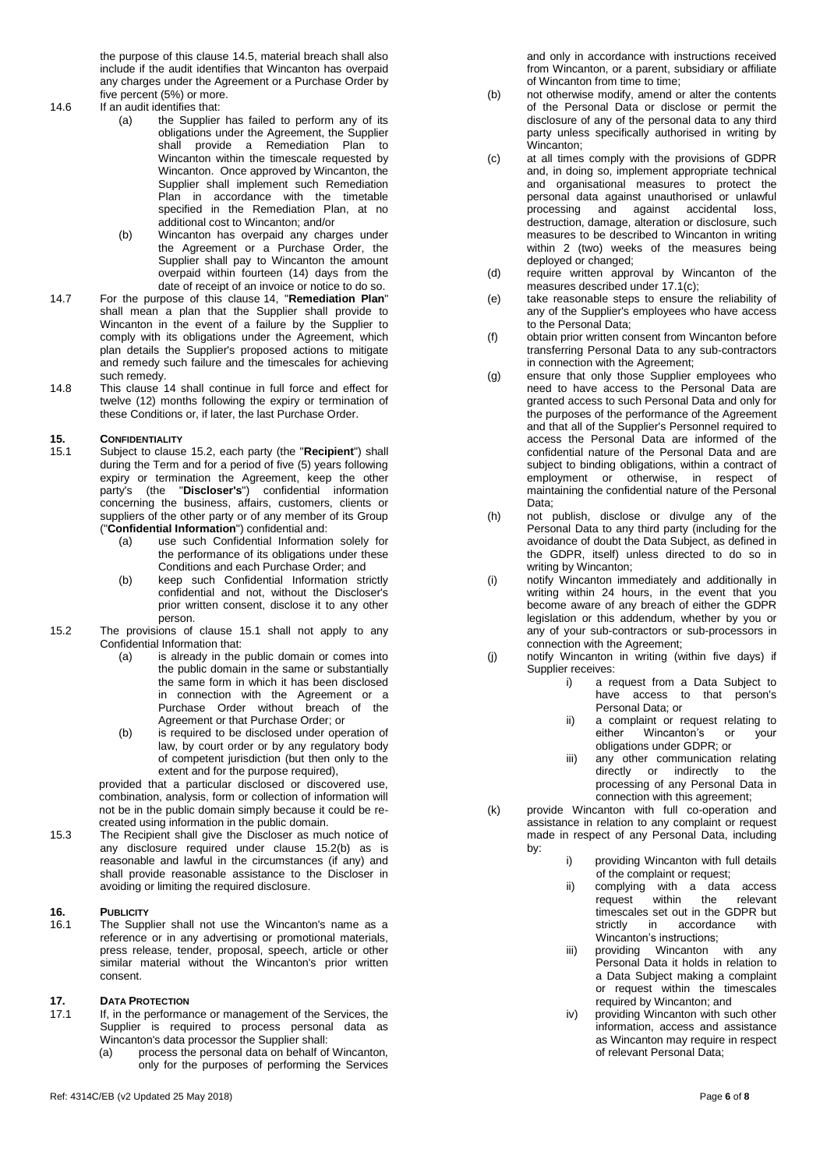the purpose of this clause [14.5,](#page-4-4) material breach shall also include if the audit identifies that Wincanton has overpaid any charges under the Agreement or a Purchase Order by five percent (5%) or more.

- 
- 14.6 If an audit identifies that:<br>(a) the Supplier the Supplier has failed to perform any of its obligations under the Agreement, the Supplier shall provide a Remediation Plan to Wincanton within the timescale requested by Wincanton. Once approved by Wincanton, the Supplier shall implement such Remediation Plan in accordance with the timetable specified in the Remediation Plan, at no additional cost to Wincanton; and/or
	- (b) Wincanton has overpaid any charges under the Agreement or a Purchase Order, the Supplier shall pay to Wincanton the amount overpaid within fourteen (14) days from the date of receipt of an invoice or notice to do so.
- 14.7 For the purpose of this clause [14,](#page-4-3) "**Remediation Plan**" shall mean a plan that the Supplier shall provide to Wincanton in the event of a failure by the Supplier to comply with its obligations under the Agreement, which plan details the Supplier's proposed actions to mitigate and remedy such failure and the timescales for achieving such remedy.
- 14.8 This clause [14](#page-4-3) shall continue in full force and effect for twelve (12) months following the expiry or termination of these Conditions or, if later, the last Purchase Order.

## <span id="page-5-4"></span><span id="page-5-0"></span>**15. CONFIDENTIALITY**

- 15.1 Subject to clause [15.2,](#page-5-2) each party (the "**Recipient**") shall during the Term and for a period of five (5) years following expiry or termination the Agreement, keep the other party's (the "**Discloser's**") confidential information concerning the business, affairs, customers, clients or suppliers of the other party or of any member of its Group ("**Confidential Information**") confidential and:
	- use such Confidential Information solely for the performance of its obligations under these Conditions and each Purchase Order; and
	- (b) keep such Confidential Information strictly confidential and not, without the Discloser's prior written consent, disclose it to any other person.
- <span id="page-5-2"></span>15.2 The provisions of clause [15.1](#page-5-0) shall not apply to any Confidential Information that:
	- (a) is already in the public domain or comes into the public domain in the same or substantially the same form in which it has been disclosed in connection with the Agreement or a Purchase Order without breach of the Agreement or that Purchase Order; or
	- (b) is required to be disclosed under operation of law, by court order or by any regulatory body of competent jurisdiction (but then only to the extent and for the purpose required),

<span id="page-5-3"></span>provided that a particular disclosed or discovered use, combination, analysis, form or collection of information will not be in the public domain simply because it could be recreated using information in the public domain.

15.3 The Recipient shall give the Discloser as much notice of any disclosure required under clause [15.2\(b\)](#page-5-3) as is reasonable and lawful in the circumstances (if any) and shall provide reasonable assistance to the Discloser in avoiding or limiting the required disclosure.

## **16. PUBLICITY**

The Supplier shall not use the Wincanton's name as a reference or in any advertising or promotional materials, press release, tender, proposal, speech, article or other similar material without the Wincanton's prior written consent.

## <span id="page-5-1"></span>**17. DATA PROTECTION**<br>17.1 **If.** in the performal

- If, in the performance or management of the Services, the Supplier is required to process personal data as Wincanton's data processor the Supplier shall:
	- (a) process the personal data on behalf of Wincanton, only for the purposes of performing the Services

and only in accordance with instructions received from Wincanton, or a parent, subsidiary or affiliate of Wincanton from time to time;

- (b) not otherwise modify, amend or alter the contents of the Personal Data or disclose or permit the disclosure of any of the personal data to any third party unless specifically authorised in writing by Wincanton;
- (c) at all times comply with the provisions of GDPR and, in doing so, implement appropriate technical and organisational measures to protect the personal data against unauthorised or unlawful processing and against accidental loss, destruction, damage, alteration or disclosure, such measures to be described to Wincanton in writing within 2 (two) weeks of the measures being deployed or changed;
- (d) require written approval by Wincanton of the measures described under 17.1(c);
- (e) take reasonable steps to ensure the reliability of any of the Supplier's employees who have access to the Personal Data;
- (f) obtain prior written consent from Wincanton before transferring Personal Data to any sub-contractors in connection with the Agreement;
- (g) ensure that only those Supplier employees who need to have access to the Personal Data are granted access to such Personal Data and only for the purposes of the performance of the Agreement and that all of the Supplier's Personnel required to access the Personal Data are informed of the confidential nature of the Personal Data and are subject to binding obligations, within a contract of employment or otherwise, in respect of maintaining the confidential nature of the Personal Data;
- (h) not publish, disclose or divulge any of the Personal Data to any third party (including for the avoidance of doubt the Data Subject, as defined in the GDPR, itself) unless directed to do so in writing by Wincanton;
- (i) notify Wincanton immediately and additionally in writing within 24 hours, in the event that you become aware of any breach of either the GDPR legislation or this addendum, whether by you or any of your sub-contractors or sub-processors in connection with the Agreement;
- (j) notify Wincanton in writing (within five days) if Supplier receives:<br>i) a re
	- a request from a Data Subject to have access to that person's Personal Data; or
	- ii) a complaint or request relating to<br>either Wincanton's or your Wincanton's or obligations under GDPR; or
	- iii) any other communication relating<br>directly or indirectly to the or indirectly to the processing of any Personal Data in connection with this agreement;
- (k) provide Wincanton with full co-operation and assistance in relation to any complaint or request made in respect of any Personal Data, including by:
	- i) providing Wincanton with full details of the complaint or request;
		- ii) complying with a data access request within the relevant timescales set out in the GDPR but<br>strictly in accordance with accordance Wincanton's instructions;
	- iii) providing Wincanton with any Personal Data it holds in relation to a Data Subject making a complaint or request within the timescales required by Wincanton; and
	- iv) providing Wincanton with such other information, access and assistance as Wincanton may require in respect of relevant Personal Data;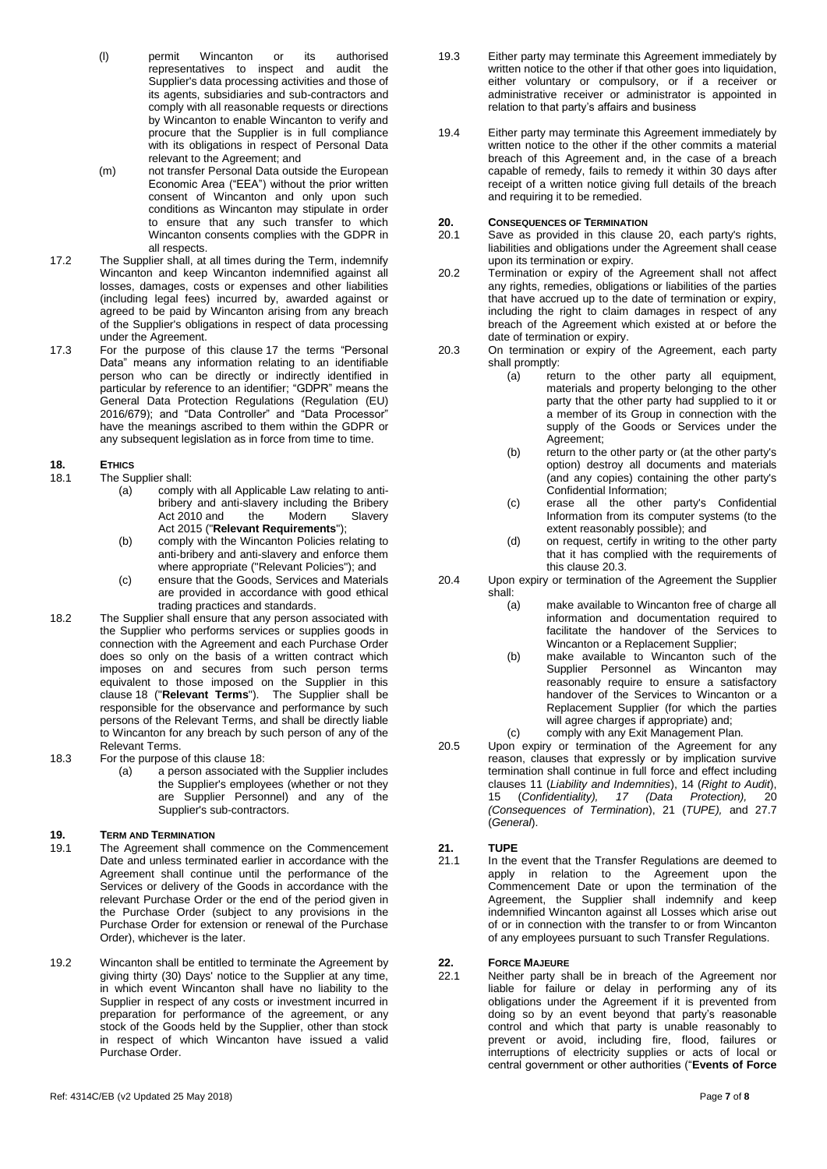- (l) permit Wincanton or its authorised representatives to inspect and audit the Supplier's data processing activities and those of its agents, subsidiaries and sub-contractors and comply with all reasonable requests or directions by Wincanton to enable Wincanton to verify and procure that the Supplier is in full compliance with its obligations in respect of Personal Data relevant to the Agreement; and
- (m) not transfer Personal Data outside the European Economic Area ("EEA") without the prior written consent of Wincanton and only upon such conditions as Wincanton may stipulate in order to ensure that any such transfer to which Wincanton consents complies with the GDPR in all respects.
- 17.2 The Supplier shall, at all times during the Term, indemnify Wincanton and keep Wincanton indemnified against all losses, damages, costs or expenses and other liabilities (including legal fees) incurred by, awarded against or agreed to be paid by Wincanton arising from any breach of the Supplier's obligations in respect of data processing under the Agreement.
- 17.3 For the purpose of this clause 17 the terms "Personal Data" means any information relating to an identifiable person who can be directly or indirectly identified in particular by reference to an identifier; "GDPR" means the General Data Protection Regulations (Regulation (EU) 2016/679); and "Data Controller" and "Data Processor" have the meanings ascribed to them within the GDPR or any subsequent legislation as in force from time to time.

## <span id="page-6-1"></span>**18. ETHICS**<br>18.1 **The Su**

- The Supplier shall:<br>(a) comply
	- comply with all Applicable Law relating to antibribery and anti-slavery including the Bribery<br>Act 2010 and the Modern Slavery Act  $2010$  and Act 2015 ("**Relevant Requirements**");
	- (b) comply with the Wincanton Policies relating to anti-bribery and anti-slavery and enforce them where appropriate ("Relevant Policies"); and
	- (c) ensure that the Goods, Services and Materials are provided in accordance with good ethical trading practices and standards.
- 18.2 The Supplier shall ensure that any person associated with the Supplier who performs services or supplies goods in connection with the Agreement and each Purchase Order does so only on the basis of a written contract which imposes on and secures from such person terms equivalent to those imposed on the Supplier in this clause [18](#page-6-1) ("**Relevant Terms**"). The Supplier shall be responsible for the observance and performance by such persons of the Relevant Terms, and shall be directly liable to Wincanton for any breach by such person of any of the Relevant Terms.
- 18.3 For the purpose of this clause [18:](#page-6-1)<br>(a) a person associated v
	- a person associated with the Supplier includes the Supplier's employees (whether or not they are Supplier Personnel) and any of the Supplier's sub-contractors.

#### **19. TERM AND TERMINATION**

- <span id="page-6-0"></span>19.1 The Agreement shall commence on the Commencement Date and unless terminated earlier in accordance with the Agreement shall continue until the performance of the Services or delivery of the Goods in accordance with the relevant Purchase Order or the end of the period given in the Purchase Order (subject to any provisions in the Purchase Order for extension or renewal of the Purchase Order), whichever is the later.
- 19.2 Wincanton shall be entitled to terminate the Agreement by giving thirty (30) Days' notice to the Supplier at any time, in which event Wincanton shall have no liability to the Supplier in respect of any costs or investment incurred in preparation for performance of the agreement, or any stock of the Goods held by the Supplier, other than stock in respect of which Wincanton have issued a valid Purchase Order.
- 19.3 Either party may terminate this Agreement immediately by written notice to the other if that other goes into liquidation, either voluntary or compulsory, or if a receiver or administrative receiver or administrator is appointed in relation to that party's affairs and business
- 19.4 Either party may terminate this Agreement immediately by written notice to the other if the other commits a material breach of this Agreement and, in the case of a breach capable of remedy, fails to remedy it within 30 days after receipt of a written notice giving full details of the breach and requiring it to be remedied.

## <span id="page-6-2"></span>**20. CONSEQUENCES OF TERMINATION**<br>20.1 Save as provided in this clause

- Save as provided in this clause [20,](#page-6-2) each party's rights, liabilities and obligations under the Agreement shall cease upon its termination or expiry.
- 20.2 Termination or expiry of the Agreement shall not affect any rights, remedies, obligations or liabilities of the parties that have accrued up to the date of termination or expiry, including the right to claim damages in respect of any breach of the Agreement which existed at or before the date of termination or expiry.
- <span id="page-6-3"></span>20.3 On termination or expiry of the Agreement, each party shall promptly:
	- (a) return to the other party all equipment, materials and property belonging to the other party that the other party had supplied to it or a member of its Group in connection with the supply of the Goods or Services under the Agreement;
	- (b) return to the other party or (at the other party's option) destroy all documents and materials (and any copies) containing the other party's Confidential Information;
	- (c) erase all the other party's Confidential Information from its computer systems (to the extent reasonably possible); and
	- (d) on request, certify in writing to the other party that it has complied with the requirements of this clause [20.3.](#page-6-3)
- 20.4 Upon expiry or termination of the Agreement the Supplier shall:<br>(a)
	- make available to Wincanton free of charge all information and documentation required to facilitate the handover of the Services to Wincanton or a Replacement Supplier;
	- (b) make available to Wincanton such of the Supplier Personnel as Wincanton may reasonably require to ensure a satisfactory handover of the Services to Wincanton or a Replacement Supplier (for which the parties will agree charges if appropriate) and;
	- (c) comply with any Exit Management Plan.
- 20.5 Upon expiry or termination of the Agreement for any reason, clauses that expressly or by implication survive termination shall continue in full force and effect including clauses [11](#page-3-3) (*Liability and Indemnities*), [14](#page-4-3) (*Right to Audit*), [15](#page-5-4) (*Confidentiality), [17](#page-5-1) (Data Protection),* [20](#page-6-2) *(Consequences of Termination*), [21](#page-6-4) (*TUPE),* and [27.7](#page-7-2) (*General*).

# <span id="page-6-4"></span>**21. TUPE**

In the event that the Transfer Regulations are deemed to apply in relation to the Agreement upon the Commencement Date or upon the termination of the Agreement, the Supplier shall indemnify and keep indemnified Wincanton against all Losses which arise out of or in connection with the transfer to or from Wincanton of any employees pursuant to such Transfer Regulations.

### **22. FORCE MAJEURE**

Neither party shall be in breach of the Agreement nor liable for failure or delay in performing any of its obligations under the Agreement if it is prevented from doing so by an event beyond that party's reasonable control and which that party is unable reasonably to prevent or avoid, including fire, flood, failures or interruptions of electricity supplies or acts of local or central government or other authorities ("**Events of Force**